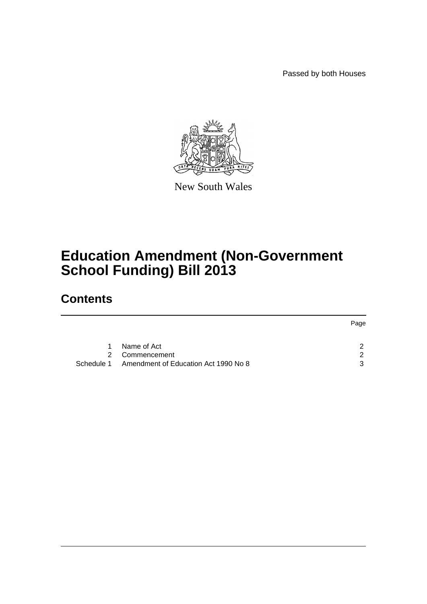Passed by both Houses



New South Wales

# **Education Amendment (Non-Government School Funding) Bill 2013**

### **Contents**

|             |                                                 | Page |
|-------------|-------------------------------------------------|------|
|             |                                                 |      |
| $\mathbf 1$ | Name of Act                                     |      |
| 2           | Commencement                                    | ◠    |
|             | Schedule 1 Amendment of Education Act 1990 No 8 | ્ર   |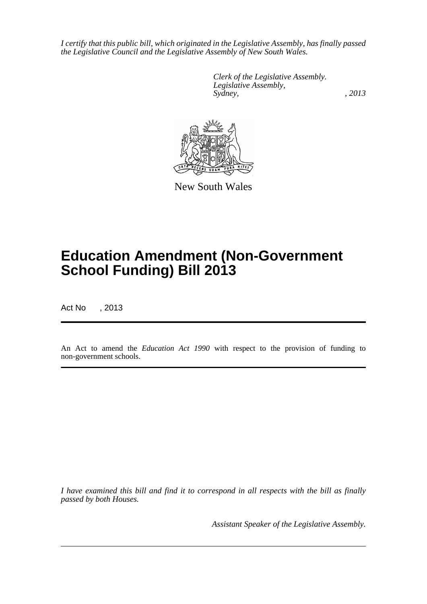*I certify that this public bill, which originated in the Legislative Assembly, has finally passed the Legislative Council and the Legislative Assembly of New South Wales.*

> *Clerk of the Legislative Assembly. Legislative Assembly, Sydney, , 2013*



New South Wales

# **Education Amendment (Non-Government School Funding) Bill 2013**

Act No , 2013

An Act to amend the *Education Act 1990* with respect to the provision of funding to non-government schools.

*I have examined this bill and find it to correspond in all respects with the bill as finally passed by both Houses.*

*Assistant Speaker of the Legislative Assembly.*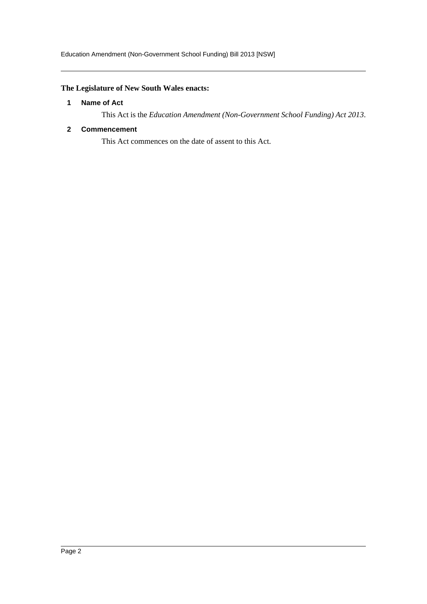### <span id="page-2-0"></span>**The Legislature of New South Wales enacts:**

#### **1 Name of Act**

This Act is the *Education Amendment (Non-Government School Funding) Act 2013*.

#### <span id="page-2-1"></span>**2 Commencement**

This Act commences on the date of assent to this Act.